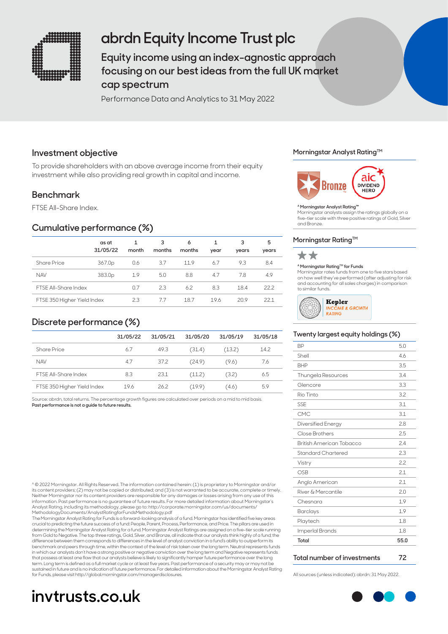

# **abrdn Equity Income Trust plc**

**Equity income using an index-agnostic approach focusing on our best ideas from the full UK market cap spectrum**

Performance Data and Analytics to 31 May 2022

## **Investment objective**

To provide shareholders with an above average income from their equity investment while also providing real growth in capital and income.

## **Benchmark**

FTSE All-Share Index.

## **Cumulative performance (%)**

|                             | as at<br>31/05/22  | month | 3<br>months | 6<br>months | year | 3<br>years | 5<br>years |
|-----------------------------|--------------------|-------|-------------|-------------|------|------------|------------|
| Share Price                 | 367.0p             | 0.6   | 3.7         | 11.9        | 6.7  | 9.3        | 8.4        |
| <b>NAV</b>                  | 383.0 <sub>p</sub> | 1.9   | 5.0         | 8.8         | 4.7  | 7.8        | 4.9        |
| <b>FTSF All-Share Index</b> |                    | 0.7   | 2.3         | 6.2         | 8.3  | 18.4       | 22.2       |
| FTSE 350 Higher Yield Index |                    | 2.3   | 77          | 18.7        | 19.6 | 20.9       | 221        |

## **Discrete performance (%)**

|                             | 31/05/22 | 31/05/21 | 31/05/20 | 31/05/19 | 31/05/18 |
|-----------------------------|----------|----------|----------|----------|----------|
| Share Price                 | 6.7      | 49.3     | (31.4)   | (13.2)   | 14.2     |
| <b>NAV</b>                  | 4.7      | 37.2     | (24.9)   | (9.6)    | 7.6      |
| <b>FTSF All-Share Index</b> | 8.3      | 23.1     | (11.2)   | (3.2)    | 6.5      |
| FTSE 350 Higher Yield Index | 19.6     | 26.2     | (19.9)   | (4.6)    | 5.9      |

Source: abrdn, total returns. The percentage growth figures are calculated over periods on a mid to mid basis. **Past performance is not a guide to future results.**

A © 2022 Morningstar. All Rights Reserved. The information contained herein: (1) is proprietary to Morningstar and/or its content providers; (2) may not be copied or distributed; and (3) is not warranted to be accurate, complete or timely. Neither Morningstar nor its content providers are responsible for any damages or losses arising from any use of this<br>information. Past performance is no guarantee of future results. For more detailed information about Morn Analyst Rating, including its methodology, please go to: http://corporate.morningstar.com/us/documents/ MethodologyDocuments/AnalystRatingforFundsMethodology.pdf

The Morningstar Analyst Rating for Funds is a forward-looking analysis of a fund. Morningstar has identified five key areas<br>crucial to predicting the future success of a fund: People, Parent, Process, Performance, and Pric determining the Morningstar Analyst Rating for a fund. Morningstar Analyst Ratings are assigned on a five-tier scale running<br>from Gold to Negative. The top three ratings, Gold, Silver, and Bronze, all indicate that our ana difference between them corresponds to differences in the level of analyst conviction in a fund's ability to outperform its benchmark and peers through time, within the context of the level of risk taken over the long term. Neutral represents funds in which our analysts don't have a strong positive or negative conviction over the long term and Negative represents funds<br>that possess at least one flaw that our analysts believe is likely to significantly hamper future p term. Long term is defined as a full market cycle or at least five years. Past performance of a security may or may not be sustained in future and is no indication of future performance. For detailed information about the Morningstar Analyst Rating for Funds, please visit http://global.morningstar.com/managerdisclosures. All sources (unless indicated): abrdn: 31 May 2022.

# **invtrusts.co.uk**

#### **Morningstar Analyst RatingTM**



#### **A Morningstar Analyst Rating™**

Morningstar analysts assign the ratings globally on a five-tier scale with three positive ratings of Gold, Silver and Bronze.

#### **Morningstar Rating™**



#### **A Morningstar RatingTM for Funds**

Morningstar rates funds from one to five stars based on how well they've performed (after adjusting for risk and accounting for all sales charges) in comparison to similar funds.



#### **Twenty largest equity holdings (%)**

| <b>BP</b>                 | 5.0  |
|---------------------------|------|
| Shell                     | 4.6  |
| <b>BHP</b>                | 3.5  |
| <b>Thungela Resources</b> | 3.4  |
| Glencore                  | 3.3  |
| Rio Tinto                 | 3.2  |
| SSE                       | 3.1  |
| CMC                       | 3.1  |
| Diversified Energy        | 2.8  |
| Close Brothers            | 2.5  |
| British American Tobacco  | 2.4  |
| Standard Chartered        | 2.3  |
| Vistry                    | 2.2  |
| OSB                       | 2.1  |
| Anglo American            | 2.1  |
| River & Mercantile        | 2.0  |
| Chesnara                  | 1.9  |
| <b>Barclays</b>           | 1.9  |
| Playtech                  | 1.8  |
| ImperIal Brands           | 1.8  |
| Total                     | 55.0 |

#### **Total number of investments 72**

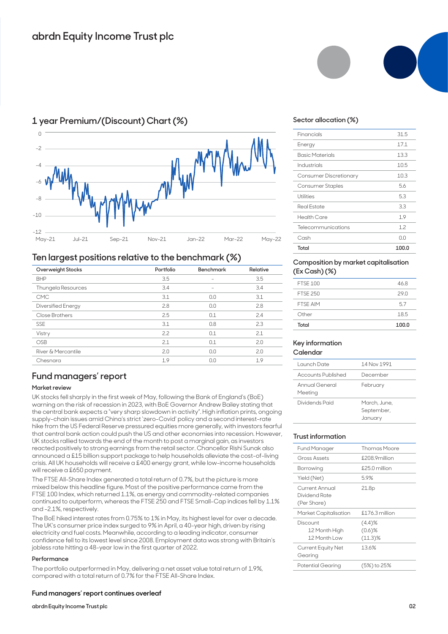

## **1 year Premium/(Discount) Chart (%)**

### **Ten largest positions relative to the benchmark (%)**

|                           |           |                          | $\overline{\phantom{a}}$ |  |
|---------------------------|-----------|--------------------------|--------------------------|--|
| Overweight Stocks         | Portfolio | <b>Benchmark</b>         | Relative                 |  |
| <b>BHP</b>                | 3.5       |                          | 3.5                      |  |
| Thungela Resources        | 3.4       | $\overline{\phantom{0}}$ | 3.4                      |  |
| <b>CMC</b>                | 3.1       | 0.0                      | 3.1                      |  |
| <b>Diversified Energy</b> | 2.8       | 0.0                      | 2.8                      |  |
| Close Brothers            | 2.5       | 0.1                      | 2.4                      |  |
| <b>SSE</b>                | 3.1       | 0.8                      | 2.3                      |  |
| Vistry                    | 2.2       | 0.1                      | 2.1                      |  |
| <b>OSB</b>                | 2.1       | 0.1                      | 2.0                      |  |
| River & Mercantile        | 2.0       | 0.0                      | 2.0                      |  |
| Chesnara                  | 1.9       | 0.0                      | 1.9                      |  |
|                           |           |                          |                          |  |

## **Fund managers' report**

#### **Market review**

UK stocks fell sharply in the first week of May, following the Bank of England's (BoE) warning on the risk of recession in 2023, with BoE Governor Andrew Bailey stating that the central bank expects a "very sharp slowdown in activity". High inflation prints, ongoing supply-chain issues amid China's strict 'zero-Covid' policy and a second interest-rate hike from the US Federal Reserve pressured equities more generally, with investors fearful that central bank action could push the US and other economies into recession. However, UK stocks rallied towards the end of the month to post a marginal gain, as investors reacted positively to strong earnings from the retail sector. Chancellor Rishi Sunak also announced a £15 billion support package to help households alleviate the cost-of-living crisis. All UK households will receive a £400 energy grant, while low-income households will receive a £650 payment.

The FTSE All-Share Index generated a total return of 0.7%, but the picture is more mixed below this headline figure. Most of the positive performance came from the FTSE 100 Index, which returned 1.1%, as energy and commodity-related companies continued to outperform, whereas the FTSE 250 and FTSE Small-Cap indices fell by 1.1% and -2.1%, respectively.

The BoE hiked interest rates from 0.75% to 1% in May, its highest level for over a decade. The UK's consumer price index surged to 9% in April, a 40-year high, driven by rising electricity and fuel costs. Meanwhile, according to a leading indicator, consumer confidence fell to its lowest level since 2008. Employment data was strong with Britain's jobless rate hitting a 48-year low in the first quarter of 2022.

#### **Performance**

The portfolio outperformed in May, delivering a net asset value total return of 1.9%, compared with a total return of 0.7% for the FTSE All-Share Index.

#### **Fund managers' report continues overleaf**

**abrdn Equity Income Trust plc**



#### **Sector allocation (%)**

| Telecommunications<br>Cash | 3.3<br>1.9<br>1.2<br>ΩO |
|----------------------------|-------------------------|
|                            |                         |
|                            |                         |
| <b>Health Care</b>         |                         |
| <b>Real Estate</b>         |                         |
| Utilities                  | 5.3                     |
| Consumer Staples           | 5.6                     |
| Consumer Discretionary     | 10.3                    |
| Industrials                | 10.5                    |
| <b>Basic Materials</b>     | 13.3                    |
| Energy                     | 17.1                    |
| Financials                 | 31.5                    |

#### **Composition by market capitalisation (Ex Cash) (%)**

| Total           | 100.0 |
|-----------------|-------|
| Other           | 18.5  |
| <b>FTSF AIM</b> | 5.7   |
| <b>FTSF 250</b> | 290   |
| <b>FTSF 100</b> | 46.8  |
|                 |       |

#### **Key information Calendar**

| Launch Date               | 14 Nov 1991                           |
|---------------------------|---------------------------------------|
| Accounts Published        | December                              |
| Annual General<br>Meeting | February                              |
| Dividends Paid            | March, June,<br>September,<br>January |

#### **Trust information**

| Fund Manager                                   | <b>Thomas Moore</b>               |
|------------------------------------------------|-----------------------------------|
| Gross Assets                                   | £208.9million                     |
| Borrowing                                      | $£250$ million                    |
| Yield (Net)                                    | 5.9%                              |
| Current Annual<br>Dividend Rate<br>(Per Share) | 21.8p                             |
| Market Capitalisation                          | $$176.3$ million                  |
| Discount<br>12 Month High<br>12 Month Low      | (4.4)%<br>$(0.6)$ %<br>$(11.3)\%$ |
| Current Equity Net<br>Gearing                  | 13.6%                             |
| Potential Gearing                              | (5%) to 25%                       |
|                                                |                                   |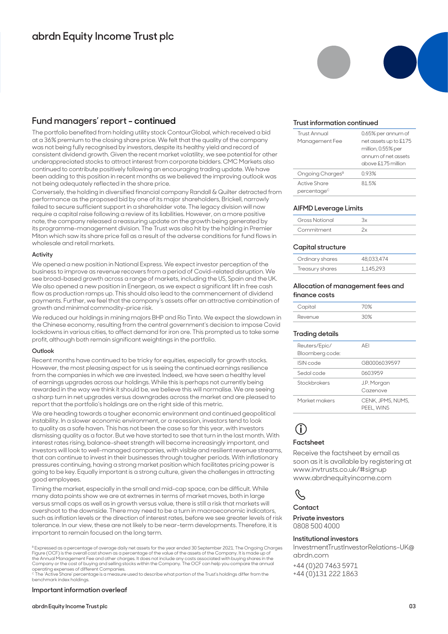## **Fund managers' report - continued**

The portfolio benefited from holding utility stock ContourGlobal, which received a bid at a 36% premium to the closing share price. We felt that the quality of the company was not being fully recognised by investors, despite its healthy yield and record of consistent dividend growth. Given the recent market volatility, we see potential for other underappreciated stocks to attract interest from corporate bidders. CMC Markets also continued to contribute positively following an encouraging trading update. We have been adding to this position in recent months as we believed the improving outlook was not being adequately reflected in the share price.

Conversely, the holding in diversified financial company Randall & Quilter detracted from performance as the proposed bid by one of its major shareholders, Brickell, narrowly failed to secure sufficient support in a shareholder vote. The legacy division will now require a capital raise following a review of its liabilities. However, on a more positive note, the company released a reassuring update on the growth being generated by its programme-management division. The Trust was also hit by the holding in Premier Miton which saw its share price fall as a result of the adverse conditions for fund flows in wholesale and retail markets.

#### **Activity**

We opened a new position in National Express. We expect investor perception of the business to improve as revenue recovers from a period of Covid-related disruption. We see broad-based growth across a range of markets, including the US, Spain and the UK. We also opened a new position in Energean, as we expect a significant lift in free cash flow as production ramps up. This should also lead to the commencement of dividend payments. Further, we feel that the company's assets offer an attractive combination of growth and minimal commodity-price risk.

We reduced our holdings in mining majors BHP and Rio Tinto. We expect the slowdown in the Chinese economy, resulting from the central government's decision to impose Covid lockdowns in various cities, to affect demand for iron ore. This prompted us to take some profit, although both remain significant weightings in the portfolio.

#### **Outlook**

Recent months have continued to be tricky for equities, especially for growth stocks. However, the most pleasing aspect for us is seeing the continued earnings resilience from the companies in which we are invested. Indeed, we have seen a healthy level of earnings upgrades across our holdings. While this is perhaps not currently being rewarded in the way we think it should be, we believe this will normalise. We are seeing a sharp turn in net upgrades versus downgrades across the market and are pleased to report that the portfolio's holdings are on the right side of this metric.

We are heading towards a tougher economic environment and continued geopolitical instability. In a slower economic environment, or a recession, investors tend to look to quality as a safe haven. This has not been the case so far this year, with investors dismissing quality as a factor. But we have started to see that turn in the last month. With interest rates rising, balance-sheet strength will become increasingly important, and investors will look to well-managed companies, with visible and resilient revenue streams, that can continue to invest in their businesses through tougher periods. With inflationary pressures continuing, having a strong market position which facilitates pricing power is going to be key. Equally important is a strong culture, given the challenges in attracting good employees.

Timing the market, especially in the small and mid-cap space, can be difficult. While many data points show we are at extremes in terms of market moves, both in large versus small caps as well as in growth versus value, there is still a risk that markets will overshoot to the downside. There may need to be a turn in macroeconomic indicators, such as inflation levels or the direction of interest rates, before we see greater levels of risk tolerance. In our view, these are not likely to be near-term developments. Therefore, it is important to remain focused on the long term.

B Expressed as a percentage of average daily net assets for the year ended 30 September 2021. The Ongoing Charges Figure (OCF) is the overall cost shown as a percentage of the value of the assets of the Company. It is made up of<br>the Annual Management Fee and other charges. It does not include any costs associated with buying shares in

operating expenses of different Companies.<br><sup>c</sup> The 'Active Share' percentage is a measure used to describe what portion of the Trust's holdings differ from the<br>benchmark index holdings.

#### **Important information overleaf**



#### **Trust information continued**

| <b>Trust Annual</b>          | 0.65% per annum of    |
|------------------------------|-----------------------|
| Management Fee               | net assets up to £175 |
|                              | million, 0.55% per    |
|                              | annum of net assets   |
|                              | above £175 million    |
| Ongoing Charges <sup>B</sup> | 0.93%                 |
| Active Share                 | 81.5%                 |
| percentage <sup>c</sup>      |                       |

#### **AIFMD Leverage Limits**

| <b>Gross Notional</b> |  |
|-----------------------|--|
| Commitment            |  |

#### **Capital structure**

| Ordinary shares | 48.033.474 |
|-----------------|------------|
| Treasury shares | 1.145.293  |

#### **Allocation of management fees and finance costs**

| Capital |       |
|---------|-------|
| Revenue | ں ہو۔ |

#### **Trading details**

| Reuters/Epic/<br>Bloomberg code: | AFI                             |
|----------------------------------|---------------------------------|
| ISIN code                        | GB0006039597                    |
| Sedol code                       | 0603959                         |
| Stockbrokers                     | J.P. Morgan<br>Cazenove         |
| Market makers                    | CENK, JPMS, NUMS,<br>PEEL, WINS |

## **i**

#### **Factsheet**

Receive the factsheet by email as soon as it is available by registering at www.invtrusts.co.uk/#signup www.abrdnequityincome.com

## $\mathscr{C}$

#### **Contact**

**Private investors**  0808 500 4000

#### **Institutional investors**

InvestmentTrustInvestorRelations-UK@ abrdn.com

+44 (0)20 7463 5971 +44 (0)131 222 1863